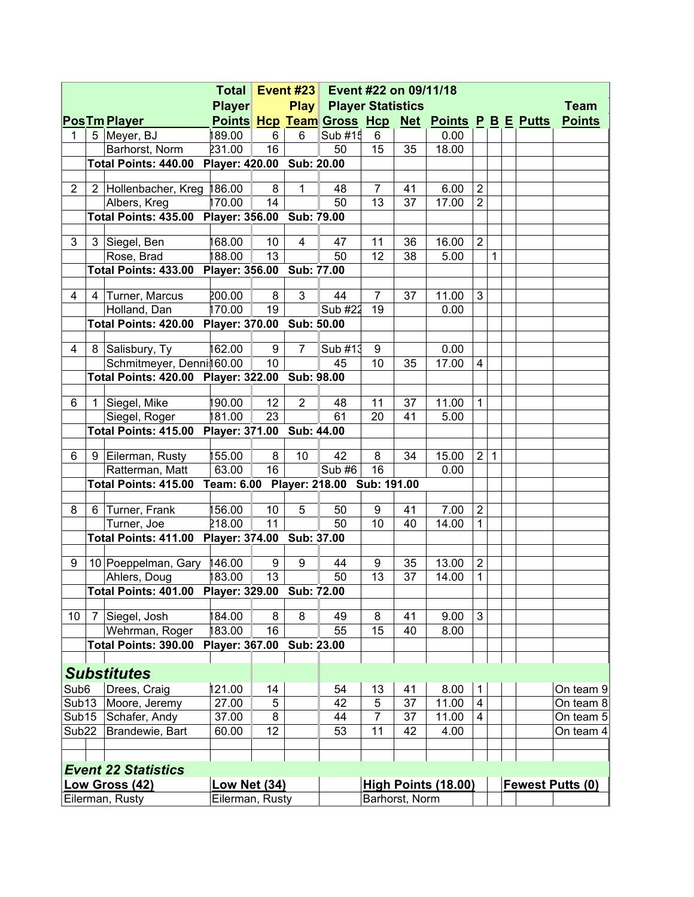|                            |   |                                                | <b>Total</b>                          |    | <b>Event #23</b> | Event #22 on 09/11/18            |                            |    |                               |                  |              |  |                         |
|----------------------------|---|------------------------------------------------|---------------------------------------|----|------------------|----------------------------------|----------------------------|----|-------------------------------|------------------|--------------|--|-------------------------|
|                            |   |                                                | <b>Player</b>                         |    | <b>Play</b>      | <b>Player Statistics</b>         |                            |    |                               |                  |              |  | Team                    |
|                            |   | <b>PosTm Player</b>                            |                                       |    |                  | <b>Points Hcp Team Gross Hcp</b> |                            |    | <b>Net Points P B E Putts</b> |                  |              |  | <b>Points</b>           |
| 1                          |   | 5 Meyer, BJ                                    | 189.00                                | 6  | 6                | Sub $#15$                        | 6                          |    | 0.00                          |                  |              |  |                         |
|                            |   | Barhorst, Norm                                 | 231.00                                | 16 |                  | 50                               | 15                         | 35 | 18.00                         |                  |              |  |                         |
|                            |   | Total Points: 440.00 Player: 420.00 Sub: 20.00 |                                       |    |                  |                                  |                            |    |                               |                  |              |  |                         |
| $\overline{2}$             |   | 2 Hollenbacher, Kreg 186.00                    |                                       | 8  | 1                | 48                               | $\overline{7}$             | 41 | 6.00                          | $\overline{2}$   |              |  |                         |
|                            |   | Albers, Kreg                                   | 170.00                                | 14 |                  | 50                               | 13                         | 37 | 17.00                         | $\overline{2}$   |              |  |                         |
|                            |   | Total Points: 435.00 Player: 356.00            |                                       |    | Sub: 79.00       |                                  |                            |    |                               |                  |              |  |                         |
| 3                          |   | 3 Siegel, Ben                                  | 168.00                                | 10 | 4                | 47                               | 11                         | 36 | 16.00                         | $\overline{2}$   |              |  |                         |
|                            |   | Rose, Brad                                     | 188.00                                | 13 |                  | 50                               | 12                         | 38 | 5.00                          |                  | $\mathbf{1}$ |  |                         |
|                            |   | Total Points: 433.00 Player: 356.00 Sub: 77.00 |                                       |    |                  |                                  |                            |    |                               |                  |              |  |                         |
|                            |   |                                                |                                       |    |                  |                                  |                            |    |                               |                  |              |  |                         |
| 4                          | 4 | Turner, Marcus                                 | 200.00                                | 8  | 3                | 44                               | $\overline{7}$             | 37 | 11.00                         | 3                |              |  |                         |
|                            |   | Holland, Dan                                   | 170.00                                | 19 |                  | Sub #22                          | 19                         |    | 0.00                          |                  |              |  |                         |
|                            |   | Total Points: 420.00 Player: 370.00 Sub: 50.00 |                                       |    |                  |                                  |                            |    |                               |                  |              |  |                         |
|                            |   |                                                |                                       |    |                  |                                  |                            |    |                               |                  |              |  |                         |
| 4                          |   | 8 Salisbury, Ty                                | 162.00                                | 9  | 7                | Sub #13                          | 9                          |    | 0.00                          |                  |              |  |                         |
|                            |   | Schmitmeyer, Denni160.00                       |                                       | 10 |                  | 45                               | 10                         | 35 | 17.00                         | $\overline{4}$   |              |  |                         |
|                            |   | Total Points: 420.00 Player: 322.00 Sub: 98.00 |                                       |    |                  |                                  |                            |    |                               |                  |              |  |                         |
| 6                          |   | 1 Siegel, Mike                                 | 190.00                                | 12 | $\overline{2}$   | 48                               | 11                         | 37 | 11.00                         | $\mathbf{1}$     |              |  |                         |
|                            |   | Siegel, Roger                                  | 181.00                                | 23 |                  | 61                               | 20                         | 41 | 5.00                          |                  |              |  |                         |
|                            |   | Total Points: 415.00                           | Player: 371.00 Sub: 44.00             |    |                  |                                  |                            |    |                               |                  |              |  |                         |
|                            |   |                                                |                                       |    |                  |                                  |                            |    |                               |                  |              |  |                         |
| 6                          |   | 9 Eilerman, Rusty                              | 155.00                                | 8  | 10               | 42                               | 8                          | 34 | 15.00                         | $\overline{2}$   | $\mathbf{1}$ |  |                         |
|                            |   | Ratterman, Matt                                | 63.00                                 | 16 |                  | Sub #6                           | 16                         |    | 0.00                          |                  |              |  |                         |
|                            |   | Total Points: 415.00                           | Team: 6.00 Player: 218.00 Sub: 191.00 |    |                  |                                  |                            |    |                               |                  |              |  |                         |
| 8                          | 6 | Turner, Frank                                  | 156.00                                | 10 | 5                | 50                               | 9                          | 41 | 7.00                          | $\overline{2}$   |              |  |                         |
|                            |   | Turner, Joe                                    | 218.00                                | 11 |                  | 50                               | 10                         | 40 | 14.00                         | $\mathbf{1}$     |              |  |                         |
|                            |   | Total Points: 411.00 Player: 374.00            |                                       |    | Sub: 37.00       |                                  |                            |    |                               |                  |              |  |                         |
|                            |   |                                                |                                       |    |                  |                                  |                            |    |                               |                  |              |  |                         |
| 9                          |   | 10 Poeppelman, Gary 146.00                     |                                       | 9  | $9\,$            | 44                               | 9                          | 35 | 13.00                         | $\boldsymbol{2}$ |              |  |                         |
|                            |   | Ahlers, Doug                                   | 183.00                                | 13 |                  | 50                               | 13                         | 37 | 14.00                         | $\mathbf{1}$     |              |  |                         |
|                            |   | <b>Total Points: 401.00 Player: 329.00</b>     |                                       |    | Sub: 72.00       |                                  |                            |    |                               |                  |              |  |                         |
| 10                         | 7 | Siegel, Josh                                   | 184.00                                | 8  | 8                | 49                               | 8                          | 41 | 9.00                          | 3                |              |  |                         |
|                            |   | Wehrman, Roger                                 | 183.00                                | 16 |                  | 55                               | 15                         | 40 | 8.00                          |                  |              |  |                         |
|                            |   | Total Points: 390.00                           | Player: 367.00                        |    | Sub: 23.00       |                                  |                            |    |                               |                  |              |  |                         |
|                            |   |                                                |                                       |    |                  |                                  |                            |    |                               |                  |              |  |                         |
|                            |   | <b>Substitutes</b>                             |                                       |    |                  |                                  |                            |    |                               |                  |              |  |                         |
| Sub <sub>6</sub>           |   | Drees, Craig                                   | 121.00                                | 14 |                  | 54                               | 13                         | 41 | 8.00                          | $\mathbf{1}$     |              |  | On team 9               |
| Sub <sub>13</sub>          |   | Moore, Jeremy                                  | 27.00                                 | 5  |                  | 42                               | 5                          | 37 | 11.00                         | $\overline{4}$   |              |  | On team 8               |
| Sub15                      |   | Schafer, Andy                                  | 37.00                                 | 8  |                  | 44                               | $\overline{7}$             | 37 | 11.00                         | $\overline{4}$   |              |  | On team $5$             |
| Sub <sub>22</sub>          |   | Brandewie, Bart                                | 60.00                                 | 12 |                  | 53                               | 11                         | 42 | 4.00                          |                  |              |  | On team 4               |
|                            |   |                                                |                                       |    |                  |                                  |                            |    |                               |                  |              |  |                         |
|                            |   |                                                |                                       |    |                  |                                  |                            |    |                               |                  |              |  |                         |
| <b>Event 22 Statistics</b> |   |                                                |                                       |    |                  |                                  |                            |    |                               |                  |              |  |                         |
| <b>Low Gross (42)</b>      |   |                                                | <b>Low Net (34)</b>                   |    |                  |                                  | <b>High Points (18.00)</b> |    |                               |                  |              |  | <b>Fewest Putts (0)</b> |
|                            |   | Eilerman, Rusty                                | Eilerman, Rusty                       |    |                  |                                  | Barhorst, Norm             |    |                               |                  |              |  |                         |